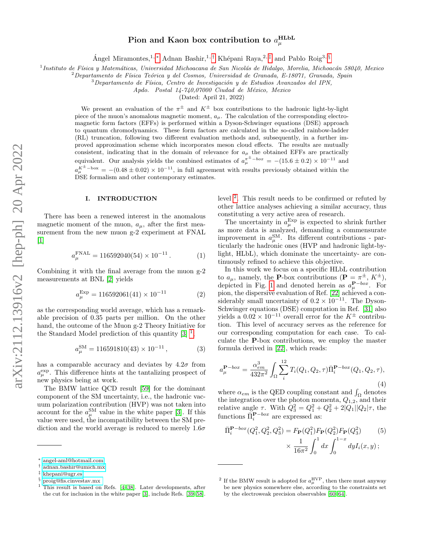# Pion and Kaon box contribution to  $a^{\textrm{HLbL}}_{\mu}$

Ángel Miramontes, <sup>1, [∗](#page-0-0)</sup> Adnan Bashir, <sup>1,[†](#page-0-1)</sup> Khépani Raya, <sup>2,[‡](#page-0-2)</sup> and Pablo Roig<sup>3, [§](#page-0-3)</sup>

<sup>1</sup> Instituto de Física y Matemáticas, Universidad Michoacana de San Nicolás de Hidalgo, Morelia, Michoacán 58040, Mexico

 $2$ Departamento de Física Teórica y del Cosmos, Universidad de Granada, E-18071, Granada, Spain

 $3$ Departamento de Física, Centro de Investigación y de Estudios Avanzados del IPN,

 $Apdo.$  Postal  $14-740,07000$  Ciudad de México, Mexico

(Dated: April 21, 2022)

We present an evaluation of the  $\pi^{\pm}$  and  $K^{\pm}$  box contributions to the hadronic light-by-light piece of the muon's anomalous magnetic moment,  $a_{\mu}$ . The calculation of the corresponding electromagnetic form factors (EFFs) is performed within a Dyson-Schwinger equations (DSE) approach to quantum chromodynamics. These form factors are calculated in the so-called rainbow-ladder (RL) truncation, following two different evaluation methods and, subsequently, in a further improved approximation scheme which incorporates meson cloud effects. The results are mutually consistent, indicating that in the domain of relevance for  $a_{\mu}$  the obtained EFFs are practically equivalent. Our analysis yields the combined estimates of  $a_{\mu}^{\pi^{\pm}-box} = -(15.6 \pm 0.2) \times 10^{-11}$  and  $a_{\mu}^{K^{\pm}-box} = -(0.48 \pm 0.02) \times 10^{-11}$ , in full agreement with results previously obtained within the DSE formalism and other contemporary estimates.

## I. INTRODUCTION

There has been a renewed interest in the anomalous magnetic moment of the muon,  $a_{\mu}$ , after the first measurement from the new muon g-2 experiment at FNAL  $\lceil 1 \rceil$ 

$$
a_{\mu}^{\text{FNAL}} = 116592040(54) \times 10^{-11} . \tag{1}
$$

Combining it with the final average from the muon g-2 measurements at BNL [\[2\]](#page-6-1) yields

$$
a_{\mu}^{\text{Exp}} = 116592061(41) \times 10^{-11} \tag{2}
$$

as the corresponding world average, which has a remarkable precision of 0.35 parts per million. On the other hand, the outcome of the Muon g-2 Theory Initiative for the Standard Model prediction of this quantity  $[3]$ <sup>[1](#page-0-4)</sup>,

$$
a_{\mu}^{\rm SM} = 116591810(43) \times 10^{-11} , \qquad (3)
$$

has a comparable accuracy and deviates by  $4.2\sigma$  from  $a_\mu^{\text{exp}}$ . This difference hints at the tantalizing prospect of new physics being at work.

The BMW lattice QCD result [\[59\]](#page-8-0) for the dominant component of the SM uncertainty, i.e., the hadronic vacuum polarization contribution (HVP) was not taken into account for the  $a_\mu^{\text{SM}}$  value in the white paper [\[3\]](#page-6-2). If this value were used, the incompatibility between the SM prediction and the world average is reduced to merely  $1.6\sigma$ 

level <sup>[2](#page-0-5)</sup>. This result needs to be confirmed or refuted by other lattice analyses achieving a similar accuracy, thus constituting a very active area of research.

The uncertainty in  $a_{\mu}^{\text{Exp}}$  is expected to shrink further as more data is analyzed, demanding a commensurate improvement in  $a_{\mu}^{\text{SM}}$ . Its different contributions - particularly the hadronic ones (HVP and hadronic light-bylight, HLbL), which dominate the uncertainty- are continuously refined to achieve this objective.

In this work we focus on a specific HLbL contribution to  $a_{\mu}$ , namely, the **P**-box contributions (**P** =  $\pi^{\pm}$ ,  $K^{\pm}$ ), depicted in Fig. [1](#page-2-0) and denoted herein as  $a_{\mu}^{\mathbf{P}-box}$ . For pion, the dispersive evaluation of Ref. [\[22\]](#page-7-2) achieved a considerably small uncertainty of  $0.2 \times 10^{-11}$ . The Dyson-Schwinger equations (DSE) computation in Ref. [\[31\]](#page-7-3) also yields a  $0.02 \times 10^{-11}$  overall error for the  $K^{\pm}$  contribution. This level of accuracy serves as the reference for our corresponding computation for each case. To calculate the P-box contributions, we employ the master formula derived in [\[22\]](#page-7-2), which reads:

<span id="page-0-6"></span>
$$
a_{\mu}^{\mathbf{P}-box} = \frac{\alpha_{em}^3}{432\pi^2} \int_{\Omega} \sum_{i}^{12} T_i(Q_1, Q_2, \tau) \bar{\Pi}_i^{\mathbf{P}-box}(Q_1, Q_2, \tau),
$$
\n(4)

where  $\alpha_{em}$  is the QED coupling constant and  $\int_{\Omega}$  denotes the integration over the photon momenta,  $Q_{1,2}$ , and their relative angle  $\tau$ . With  $Q_3^2 = Q_1^2 + Q_2^2 + 2|Q_1||Q_2|\tau$ , the functions  $\bar{\Pi}_i^{\mathbf{P}-box}$  are expressed as:

<span id="page-0-7"></span>
$$
\bar{\Pi}_{i}^{\mathbf{P}-box}(Q_1^2, Q_2^2, Q_3^2) = F_{\mathbf{P}}(Q_1^2) F_{\mathbf{P}}(Q_2^2) F_{\mathbf{P}}(Q_3^2)
$$
\n
$$
\times \frac{1}{16\pi^2} \int_0^1 dx \int_0^{1-x} dy I_i(x, y) ;
$$
\n(5)

<span id="page-0-0"></span><sup>∗</sup> [angel-aml@hotmail.com](mailto:angel-aml@hotmail.com)

<span id="page-0-1"></span><sup>†</sup> [adnan.bashir@umich.mx](mailto:adnan.bashir@umich.mx)

<span id="page-0-2"></span><sup>‡</sup> [khepani@ugr.es](mailto:khepani@ugr.es)

<span id="page-0-3"></span><sup>§</sup> [proig@fis.cinvestav.mx](mailto:proig@fis.cinvestav.mx )

<span id="page-0-4"></span><sup>1</sup> This result is based on Refs. [\[4](#page-6-3)[–38\]](#page-7-0). Later developments, after the cut for inclusion in the white paper [\[3\]](#page-6-2), include Refs. [\[39–](#page-7-1)[58\]](#page-8-1).

<span id="page-0-5"></span><sup>&</sup>lt;sup>2</sup> If the BMW result is adopted for  $a_{\mu}^{\rm HVP}$ , then there must anyway be new physics somewhere else, according to the constraints set by the electroweak precision observables [\[60–](#page-8-2)[64\]](#page-8-3).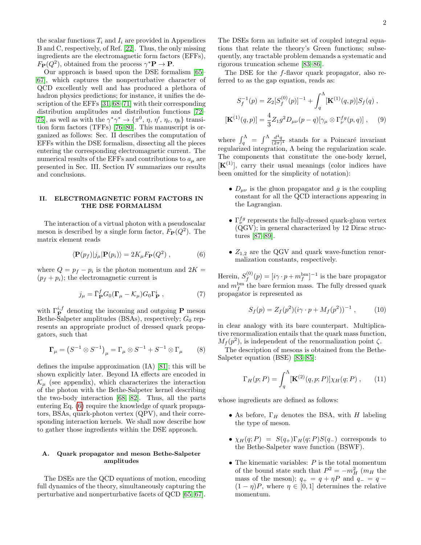the scalar functions  $T_i$  and  $I_i$  are provided in Appendices B and C, respectively, of Ref. [\[22\]](#page-7-2). Thus, the only missing ingredients are the electromagnetic form factors (EFFs),  $F_{\mathbf{P}}(Q^2)$ , obtained from the process  $\gamma^* \mathbf{P} \to \mathbf{P}$ .

Our approach is based upon the DSE formalism [\[65–](#page-8-4) [67\]](#page-8-5), which captures the nonperturbative character of QCD excellently well and has produced a plethora of hadron physics predictions; for instance, it unifies the description of the EFFs [\[31,](#page-7-3) [68–](#page-8-6)[71\]](#page-8-7) with their corresponding distribution amplitudes and distribution functions [\[72–](#page-8-8) [75\]](#page-8-9), as well as with the  $\gamma^* \gamma^* \to {\pi^0, \eta, \eta', \eta_c, \eta_b}$  transition form factors (TFFs) [\[76–](#page-8-10)[80\]](#page-8-11). This manuscript is organized as follows: Sec. II describes the computation of EFFs within the DSE formalism, dissecting all the pieces entering the corresponding electromagnetic current. The numerical results of the EFFs and contributions to  $a_{\mu}$  are presented in Sec. III. Section IV summarizes our results and conclusions.

## II. ELECTROMAGNETIC FORM FACTORS IN THE DSE FORMALISM

The interaction of a virtual photon with a pseudoscalar meson is described by a single form factor,  $F_{\mathbf{P}}(Q^2)$ . The matrix element reads

<span id="page-1-0"></span>
$$
\langle \mathbf{P}(p_f) | j_\mu | \mathbf{P}(p_i) \rangle = 2K_\mu F_\mathbf{P}(Q^2) , \qquad (6)
$$

where  $Q = p_f - p_i$  is the photon momentum and  $2K =$  $(p_f + p_i)$ ; the electromagnetic current is

<span id="page-1-2"></span>
$$
j_{\mu} = \bar{\Gamma}_{\mathbf{P}}^{f} G_{0} (\mathbf{\Gamma}_{\mu} - \mathcal{K}_{\mu}) G_{0} \Gamma_{\mathbf{P}}^{i} , \qquad (7)
$$

with  $\Gamma_{\mathbf{P}}^{i,f}$  denoting the incoming and outgoing **P** meson Bethe-Salpeter amplitudes (BSAs), respectively;  $G_0$  represents an appropriate product of dressed quark propagators, such that

$$
\Gamma_{\mu} = (S^{-1} \otimes S^{-1})_{\mu} = \Gamma_{\mu} \otimes S^{-1} + S^{-1} \otimes \Gamma_{\mu} \qquad (8)
$$

defines the impulse approximation (IA) [\[81\]](#page-8-12); this will be shown explicitly later. Beyond IA effects are encoded in  $\mathcal{K}_{\mu}$  (see appendix), which characterizes the interaction of the photon with the Bethe-Salpeter kernel describing the two-body interaction [\[68,](#page-8-6) [82\]](#page-8-13). Thus, all the parts entering Eq. [\(6\)](#page-1-0) require the knowledge of quark propagators, BSAs, quark-photon vertex (QPV), and their corresponding interaction kernels. We shall now describe how to gather those ingredients within the DSE approach.

## A. Quark propagator and meson Bethe-Salpeter amplitudes

The DSEs are the QCD equations of motion, encoding full dynamics of the theory, simultaneously capturing the perturbative and nonperturbative facets of QCD [\[65,](#page-8-4) [67\]](#page-8-5). The DSEs form an infinite set of coupled integral equations that relate the theory's Green functions; subsequently, any tractable problem demands a systematic and rigorous truncation scheme [\[83–](#page-8-14)[86\]](#page-8-15).

The DSE for the f-flavor quark propagator, also referred to as the gap equation, reads as:

<span id="page-1-4"></span>
$$
S_f^{-1}(p) = Z_2[S_f^{(0)}(p)]^{-1} + \int_q^{\Lambda} [\mathbf{K}^{(1)}(q, p)] S_f(q) ,
$$
  

$$
[\mathbf{K}^{(1)}(q, p)] = \frac{4}{3} Z_1 g^2 D_{\mu\nu}(p - q) [\gamma_\mu \otimes \Gamma_\nu^{fg}(p, q) ] , \quad (9)
$$

where  $\int_{q}^{\Lambda} = \int_{0}^{\Lambda} \frac{d^4q}{(2\pi)^4}$  stands for a Poincaré invariant regularized integration, Λ being the regularization scale. The components that constitute the one-body kernel,  $[K<sup>(1)</sup>]$ , carry their usual meanings (color indices have been omitted for the simplicity of notation):

- $D_{\mu\nu}$  is the gluon propagator and g is the coupling constant for all the QCD interactions appearing in the Lagrangian.
- $\bullet$   $\Gamma^{fg}_{\nu}$  represents the fully-dressed quark-gluon vertex (QGV); in general characterized by 12 Dirac structures [\[87–](#page-9-0)[89\]](#page-9-1).
- $Z_{1,2}$  are the QGV and quark wave-function renormalization constants, respectively.

Herein,  $S_f^{(0)}$  $f_f^{(0)}(p) = [i\gamma \cdot p + m_f^{\text{bm}}]^{-1}$  is the bare propagator and  $m_f^{\text{bm}}$  the bare fermion mass. The fully dressed quark propagator is represented as

<span id="page-1-3"></span>
$$
S_f(p) = Z_f(p^2)(i\gamma \cdot p + M_f(p^2))^{-1}, \qquad (10)
$$

in clear analogy with its bare counterpart. Multiplicative renormalization entails that the quark mass function,  $M_f(p^2)$ , is independent of the renormalization point  $\zeta$ .

The description of mesons is obtained from the Bethe-Salpeter equation (BSE) [\[83–](#page-8-14)[85\]](#page-8-16):

<span id="page-1-1"></span>
$$
\Gamma_H(p;P) = \int_q^{\Lambda} [\mathbf{K}^{(2)}(q,p;P)] \chi_H(q;P) , \qquad (11)
$$

whose ingredients are defined as follows:

- As before,  $\Gamma_H$  denotes the BSA, with H labeling the type of meson.
- $\chi_H(q; P) = S(q_+) \Gamma_H(q; P) S(q_-)$  corresponds to the Bethe-Salpeter wave function (BSWF).
- The kinematic variables:  $P$  is the total momentum of the bound state such that  $P^2 = -m_H^2$  ( $m_H$  the mass of the meson);  $q_{+} = q + \eta P$  and  $q_{-} = q (1 - \eta)P$ , where  $\eta \in [0, 1]$  determines the relative momentum.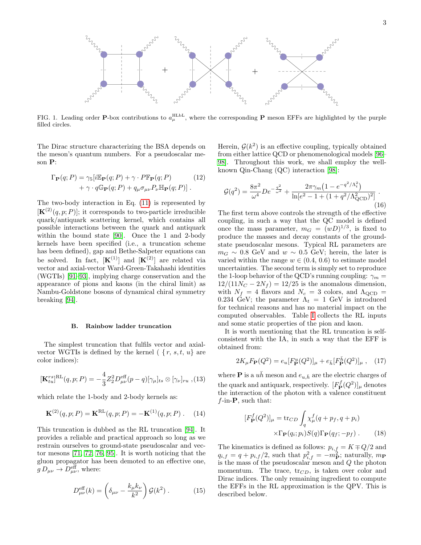

<span id="page-2-0"></span>FIG. 1. Leading order P-box contributions to  $a_\mu^{\text{HLbL}}$ , where the corresponding P meson EFFs are highlighted by the purple filled circles.

The Dirac structure characterizing the BSA depends on the meson's quantum numbers. For a pseudoscalar meson P:

$$
\Gamma_{\mathbf{P}}(q;P) = \gamma_5[i\mathbb{E}_{\mathbf{P}}(q;P) + \gamma \cdot P\mathbb{F}_{\mathbf{P}}(q;P) \qquad (12)
$$

$$
+ \gamma \cdot q\mathbb{G}_{\mathbf{P}}(q;P) + q_\mu \sigma_{\mu\nu} P_\nu \mathbb{H}_{\mathbf{P}}(q;P)].
$$

The two-body interaction in Eq. [\(11\)](#page-1-1) is represented by  $[\mathbf{K}^{(2)}(q, p; P)]$ ; it corresponds to two-particle irreducible quark/antiquark scattering kernel, which contains all possible interactions between the quark and antiquark within the bound state [\[90\]](#page-9-2). Once the 1 and 2-body kernels have been specified (i.e., a truncation scheme has been defined), gap and Bethe-Salpeter equations can be solved. In fact,  $[\mathbf{K}^{(1)}]$  and  $[\mathbf{K}^{(2)}]$  are related via vector and axial-vector Ward-Green-Takahashi identities (WGTIs) [\[91–](#page-9-3)[93\]](#page-9-4), implying charge conservation and the appearance of pions and kaons (in the chiral limit) as Nambu-Goldstone bosons of dynamical chiral symmetry breaking [\[94\]](#page-9-5).

#### B. Rainbow ladder truncation

The simplest truncation that fulfils vector and axialvector WGTIs is defined by the kernel  $\{r, s, t, u\}$  are color indices):

<span id="page-2-3"></span>
$$
[\mathbf{K}_{tu}^{rs}]^{\text{RL}}(q,p;P) = -\frac{4}{3}Z_2^2 D_{\mu\nu}^{\text{eff}}(p-q)[\gamma_{\mu}]_{ts} \otimes [\gamma_{\nu}]_{ru},
$$
(13)

which relate the 1-body and 2-body kernels as:

<span id="page-2-4"></span>
$$
\mathbf{K}^{(2)}(q,p;P) = \mathbf{K}^{\text{RL}}(q,p;P) = -\mathbf{K}^{(1)}(q,p;P) \ . \tag{14}
$$

This truncation is dubbed as the RL truncation [\[94\]](#page-9-5). It provides a reliable and practical approach so long as we restrain ourselves to ground-state pseudoscalar and vector mesons [\[71,](#page-8-7) [72,](#page-8-8) [76,](#page-8-10) [95\]](#page-9-6). It is worth noticing that the gluon propagator has been demoted to an effective one,  $g D_{\mu\nu} \rightarrow D_{\mu\nu}^{\text{eff}}$ , where:

$$
D_{\mu\nu}^{\text{eff}}(k) = \left(\delta_{\mu\nu} - \frac{k_{\mu}k_{\nu}}{k^2}\right)\mathcal{G}(k^2) \,. \tag{15}
$$

Herein,  $\mathcal{G}(k^2)$  is an effective coupling, typically obtained from either lattice QCD or phenomenological models [\[96–](#page-9-7) [98\]](#page-9-8). Throughout this work, we shall employ the wellknown Qin-Chang (QC) interaction [\[98\]](#page-9-8):

$$
\mathcal{G}(q^2) = \frac{8\pi^2}{\omega^4} De^{-\frac{q^2}{\omega^2}} + \frac{2\pi\gamma_m \left(1 - e^{-q^2/\Lambda_t^2}\right)}{\ln[e^2 - 1 + (1 + q^2/\Lambda_{\text{QCD}}^2)^2]}.
$$
\n(16)

The first term above controls the strength of the effective coupling, in such a way that the QC model is defined once the mass parameter,  $m_G = (wD)^{1/3}$ , is fixed to produce the masses and decay constants of the groundstate pseudoscalar mesons. Typical RL parameters are  $m_G \sim 0.8$  GeV and  $w \sim 0.5$  GeV; herein, the later is varied within the range  $w \in (0.4, 0.6)$  to estimate model uncertainties. The second term is simply set to reproduce the 1-loop behavior of the QCD's running coupling:  $\gamma_m =$  $12/(11N_C - 2N_f) = 12/25$  is the anomalous dimension, with  $N_f = 4$  flavors and  $N_c = 3$  colors, and  $\Lambda_{\rm QCD} =$ 0.234 GeV; the parameter  $\Lambda_t = 1$  GeV is introduced for technical reasons and has no material impact on the computed observables. Table [I](#page-3-0) collects the RL inputs and some static properties of the pion and kaon.

It is worth mentioning that the RL truncation is selfconsistent with the IA, in such a way that the EFF is obtained from:

<span id="page-2-2"></span>
$$
2K_{\mu}F_{\mathbf{P}}(Q^2) = e_u[F_{\mathbf{P}}^u(Q^2)]_{\mu} + e_{\bar{h}}[F_{\mathbf{P}}^{\bar{h}}(Q^2)]_{\mu}, \quad (17)
$$

where **P** is a  $u\bar{h}$  meson and  $e_{u,\bar{h}}$  are the electric charges of the quark and antiquark, respectively.  $[F<sub>P</sub><sup>f</sup>(Q<sup>2</sup>)]<sub>\mu</sub>$  denotes the interaction of the photon with a valence constituent  $f$ -in- $P$ , such that:

<span id="page-2-1"></span>
$$
[F_{\mathbf{P}}^{f}(Q^{2})]_{\mu} = \text{tr}_{CD} \int_{q} \chi_{\mu}^{f}(q + p_{f}, q + p_{i})
$$

$$
\times \Gamma_{\mathbf{P}}(q_{i}; p_{i}) S(q) \Gamma_{\mathbf{P}}(q_{f}; -p_{f}). \qquad (18)
$$

The kinematics is defined as follows:  $p_{i,f} = K \mp Q/2$  and  $q_{i,f} = q + p_{i,f}/2$ , such that  $p_{i,f}^2 = -m_{\mathbf{P}}^2$ ; naturally,  $m_{\mathbf{P}}$ is the mass of the pseudoscalar meson and  $Q$  the photon momentum. The trace,  $\text{tr}_{CD}$ , is taken over color and Dirac indices. The only remaining ingredient to compute the EFFs in the RL approximation is the QPV. This is described below.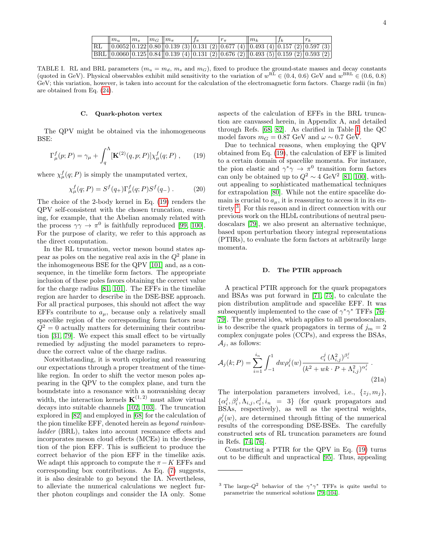| $m_u$ | m <sub>s</sub> | $m_G \parallel m_\pi$ |                                                                                       |  | $m_{k}$ |  |
|-------|----------------|-----------------------|---------------------------------------------------------------------------------------|--|---------|--|
|       |                |                       | RL $(0.0052 0.122 0.80 0.139(3) 0.131(2) 0.677(4) 0.493(4) 0.157(2) 0.597(3)$         |  |         |  |
|       |                |                       | $ BRL $ 0.0060 0.125 0.84 0.139 (4) 0.131 (2) 0.676 (2) 0.493 (5) 0.159 (2) 0.593 (2) |  |         |  |

<span id="page-3-0"></span>TABLE I. RL and BRL parameters  $(m_u = m_d, m_s$  and  $m_G)$ , fixed to produce the ground-state masses and decay constants (quoted in GeV). Physical observables exhibit mild sensitivity to the variation of  $w^{\text{RL}} \in (0.4, 0.6)$  GeV and  $w^{\text{BRL}} \in (0.6, 0.8)$ GeV; this variation, however, is taken into account for the calculation of the electromagnetic form factors. Charge radii (in fm) are obtained from Eq. [\(24\)](#page-4-0).

## C. Quark-photon vertex

The QPV might be obtained via the inhomogeneous BSE:

<span id="page-3-1"></span>
$$
\Gamma_{\mu}^{f}(p;P) = \gamma_{\mu} + \int_{q}^{\Lambda} [\mathbf{K}^{(2)}(q,p;P)] \chi_{\mu}^{f}(q;P) , \qquad (19)
$$

where  $\chi^f_\mu(q;P)$  is simply the unamputated vertex,

$$
\chi_{\mu}^{f}(q;P) = S^{f}(q_{+})\Gamma_{\mu}^{f}(q;P)S^{f}(q_{-}) . \qquad (20)
$$

The choice of the 2-body kernel in Eq. [\(19\)](#page-3-1) renders the QPV self-consistent with the chosen truncation, ensuring, for example, that the Abelian anomaly related with the process  $\gamma \gamma \to \pi^0$  is faithfully reproduced [\[99,](#page-9-9) [100\]](#page-9-10). For the purpose of clarity, we refer to this approach as the direct computation.

In the RL truncation, vector meson bound states appear as poles on the negative real axis in the  $Q^2$  plane in the inhomogeneous BSE for the QPV [\[101\]](#page-9-11) and, as a consequence, in the timelike form factors. The appropriate inclusion of these poles favors obtaining the correct value for the charge radius [\[81,](#page-8-12) [101\]](#page-9-11). The EFFs in the timelike region are harder to describe in the DSE-BSE approach. For all practical purposes, this should not affect the way EFFs contribute to  $a_{\mu}$ , because only a relatively small spacelike region of the corresponding form factors near  $Q^2 = 0$  actually matters for determining their contribution [\[31,](#page-7-3) [79\]](#page-8-17). We expect this small effect to be virtually remedied by adjusting the model parameters to reproduce the correct value of the charge radius.

Notwithstanding, it is worth exploring and reassuring our expectations through a proper treatment of the timelike region. In order to shift the vector meson poles appearing in the QPV to the complex plane, and turn the boundstate into a resonance with a nonvanishing decay width, the interaction kernels  $\mathbf{K}^{(1, 2)}$  must allow virtual decays into suitable channels [\[102,](#page-9-12) [103\]](#page-9-13). The truncation explored in [\[82\]](#page-8-13) and employed in [\[68\]](#page-8-6) for the calculation of the pion timelike EFF, denoted herein as beyond rainbowladder (BRL), takes into account resonance effects and incorporates meson cloud effects (MCEs) in the description of the pion EFF. This is sufficient to produce the correct behavior of the pion EFF in the timelike axis. We adapt this approach to compute the  $\pi - K$  EFFs and corresponding box contributions. As Eq. [\(7\)](#page-1-2) suggests, it is also desirable to go beyond the IA. Nevertheless, to alleviate the numerical calculations we neglect further photon couplings and consider the IA only. Some

aspects of the calculation of EFFs in the BRL truncation are canvassed herein, in Appendix A, and detailed through Refs. [\[68,](#page-8-6) [82\]](#page-8-13). As clarified in Table [I,](#page-3-0) the QC model favors  $m_G = 0.87$  GeV and  $\omega \sim 0.7$  GeV.

Due to technical reasons, when employing the QPV obtained from Eq. [\(19\)](#page-3-1), the calculation of EFF is limited to a certain domain of spacelike momenta. For instance, the pion elastic and  $\gamma^* \gamma \to \pi^0$  transition form factors can only be obtained up to  $Q^2 \sim 4 \text{ GeV}^2$  [\[81,](#page-8-12) [100\]](#page-9-10), without appealing to sophisticated mathematical techniques for extrapolation [\[80\]](#page-8-11). While not the entire spacelike domain is crucial to  $a_{\mu}$ , it is reassuring to access it in its entirety [3](#page-3-2) . For this reason and in direct connection with our previous work on the HLbL contributions of neutral pseudoscalars [\[79\]](#page-8-17), we also present an alternative technique, based upon perturbation theory integral representations (PTIRs), to evaluate the form factors at arbitrarily large momenta.

#### D. The PTIR approach

A practical PTIR approach for the quark propagators and BSAs was put forward in [\[71,](#page-8-7) [75\]](#page-8-9), to calculate the pion distribution amplitude and spacelike EFF. It was subsequently implemented to the case of  $\gamma^* \gamma^*$  TFFs [\[76–](#page-8-10) [79\]](#page-8-17). The general idea, which applies to all pseudoscalars, is to describe the quark propagators in terms of  $j_m = 2$ complex conjugate poles (CCPs), and express the BSAs,  $A_i$ , as follows:

$$
\mathcal{A}_{j}(k;P) = \sum_{i=1}^{i_{n}} \int_{-1}^{1} dw \rho_{i}^{j}(w) \frac{c_{i}^{j} (\Lambda_{i,j}^{2})^{\beta_{i}^{j}}}{(k^{2} + wk \cdot P + \Lambda_{i,j}^{2})^{\alpha_{i}^{j}}}.
$$
\n(21a)

The interpolation parameters involved, i.e.,  $\{z_i, m_i\},\$  $\{\alpha_i^j, \beta_i^j, \Lambda_{i,j}, c_i^j, i_n = 3\}$  (for quark propagators and BSAs, respectively), as well as the spectral weights,  $\rho_i^j(w)$ , are determined through fitting of the numerical results of the corresponding DSE-BSEs. The carefully constructed sets of RL truncation parameters are found in Refs. [\[74,](#page-8-18) [76\]](#page-8-10).

Constructing a PTIR for the QPV in Eq. [\(19\)](#page-3-1) turns out to be difficult and unpractical [\[95\]](#page-9-6). Thus, appealing

<span id="page-3-2"></span><sup>&</sup>lt;sup>3</sup> The large- $Q^2$  behavior of the  $\gamma^*\gamma^*$  TFFs is quite useful to parametrize the numerical solutions [\[79,](#page-8-17) [104\]](#page-9-14).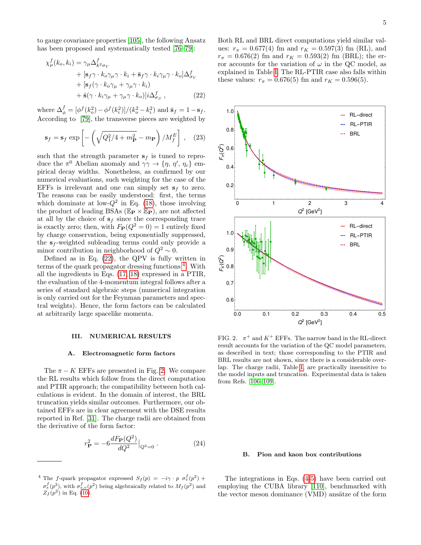to gauge covariance properties [\[105\]](#page-9-15), the following Ansatz has been proposed and systematically tested [\[76–](#page-8-10)[79\]](#page-8-17):

<span id="page-4-1"></span>
$$
\chi_{\mu}^{f}(k_{o}, k_{i}) = \gamma_{\mu} \Delta_{k^{2} \sigma_{V}}^{f}
$$
  
+ 
$$
[s_{f} \gamma \cdot k_{o} \gamma_{\mu} \gamma \cdot k_{i} + \bar{s}_{f} \gamma \cdot k_{i} \gamma_{\mu} \gamma \cdot k_{o}] \Delta_{\sigma_{V}}^{f}
$$
  
+ 
$$
[s_{f}(\gamma \cdot k_{o} \gamma_{\mu} + \gamma_{\mu} \gamma \cdot k_{i}) + \bar{s}(\gamma \cdot k_{i} \gamma_{\mu} + \gamma_{\mu} \gamma \cdot k_{o})]i\Delta_{\sigma_{S}}^{f},
$$
(22)

where  $\Delta_{\phi}^{f} = [\phi^{f}(k_o^2) - \phi^{f}(k_i^2)]/(k_o^2 - k_i^2)$  and  $\bar{\mathbf{s}}_f = 1 - \mathbf{s}_f$ . According to [\[79\]](#page-8-17), the transverse pieces are weighted by

$$
\mathbf{s}_f = \mathbf{s}_f \exp\left[-\left(\sqrt{Q_1^2/4 + m_\mathbf{P}^2} - m_\mathbf{P}\right)/M_f^E\right] \,,\quad(23)
$$

such that the strength parameter  $s_f$  is tuned to reproduce the  $\pi^0$  Abelian anomaly and  $\gamma\gamma \to {\eta, \eta', \eta_c}$  empirical decay widths. Nonetheless, as confirmed by our numerical evaluations, such weighting for the case of the EFFs is irrelevant and one can simply set  $s_f$  to zero. The reasons can be easily understood: first, the terms which dominate at low- $\dot{Q}^2$  in Eq. [\(18\)](#page-2-1), those involving the product of leading BSAs ( $\mathbb{E}_{\mathbf{P}} \times \mathbb{E}_{\mathbf{P}}$ ), are not affected at all by the choice of  $s_f$  since the corresponding trace is exactly zero; then, with  $F_{\mathbf{P}}(Q^2 = 0) = 1$  entirely fixed by charge conservation, being exponentially suppressed, the  $s_f$ -weighted subleading terms could only provide a minor contribution in neighborhood of  $Q^2 \sim 0$ .

Defined as in Eq.  $(22)$ , the QPV is fully written in terms of the quark propagator dressing functions<sup>[4](#page-4-2)</sup>. With all the ingredients in Eqs. [\(17,](#page-2-2) [18\)](#page-2-1) expressed in a PTIR, the evaluation of the 4-momentum integral follows after a series of standard algebraic steps (numerical integration is only carried out for the Feynman parameters and spectral weights). Hence, the form factors can be calculated at arbitrarily large spacelike momenta.

## III. NUMERICAL RESULTS

#### A. Electromagnetic form factors

The  $\pi - K$  EFFs are presented in Fig. [2.](#page-4-3) We compare the RL results which follow from the direct computation and PTIR approach; the compatibility between both calculations is evident. In the domain of interest, the BRL truncation yields similar outcomes. Furthermore, our obtained EFFs are in clear agreement with the DSE results reported in Ref. [\[31\]](#page-7-3). The charge radii are obtained from the derivative of the form factor:

<span id="page-4-0"></span>
$$
r_{\mathbf{P}}^2 = -6 \frac{dF_{\mathbf{P}}(Q^2)}{dQ^2} \Big|_{Q^2 = 0} \,. \tag{24}
$$

Both RL and BRL direct computations yield similar values:  $r_{\pi} = 0.677(4)$  fm and  $r_K = 0.597(3)$  fm (RL), and  $r_{\pi} = 0.676(2)$  fm and  $r_K = 0.593(2)$  fm (BRL); the error accounts for the variation of  $\omega$  in the QC model, as explained in Table [I.](#page-3-0) The RL-PTIR case also falls within these values:  $r_{\pi} = 0.676(5)$  fm and  $r_K = 0.596(5)$ .



<span id="page-4-3"></span>FIG. 2.  $\pi^+$  and  $K^+$  EFFs. The narrow band in the RL-direct result accounts for the variation of the QC model parameters, as described in text; those corresponding to the PTIR and BRL results are not shown, since there is a considerable overlap. The charge radii, Table [I,](#page-3-0) are practically insensitive to the model inputs and truncation. Experimental data is taken from Refs. [\[106–](#page-9-16)[109\]](#page-9-17).

#### B. Pion and kaon box contributions

The integrations in Eqs. [\(4-](#page-0-6)[5\)](#page-0-7) have been carried out employing the CUBA library [\[110\]](#page-9-18), benchmarked with the vector meson dominance (VMD) ansätze of the form

<span id="page-4-2"></span><sup>&</sup>lt;sup>4</sup> The f-quark propagator expressed  $S_f(p) = -i\gamma \cdot p \sigma_v^f(p^2)$  +  $\sigma_s^f(p^2)$ , with  $\sigma_{s,v}^f(p^2)$  being algebraically related to  $M_f(p^2)$  and  $Z_f(p^2)$  in Eq. [\(10\)](#page-1-3).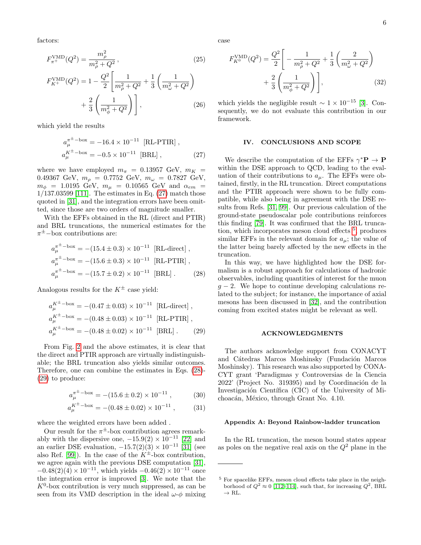factors:

$$
F_{\pi^+}^{\text{VMD}}(Q^2) = \frac{m_\rho^2}{m_\rho^2 + Q^2},\tag{25}
$$

$$
F_{K^{+}}^{\text{VMD}}(Q^{2}) = 1 - \frac{Q^{2}}{2} \left[ \frac{1}{m_{\rho}^{2} + Q^{2}} + \frac{1}{3} \left( \frac{1}{m_{\omega}^{2} + Q^{2}} \right) + \frac{2}{3} \left( \frac{1}{m_{\phi}^{2} + Q^{2}} \right) \right],
$$
 (26)

which yield the results

<span id="page-5-0"></span>
$$
a_{\mu}^{\pi^{\pm} - \text{box}} = -16.4 \times 10^{-11} \text{ [RL-PTIR]} ,
$$
  
\n
$$
a_{\mu}^{K^{\pm} - \text{box}} = -0.5 \times 10^{-11} \text{ [BRL]} ,
$$
\n(27)

where we have employed  $m_{\pi}$  = 0.13957 GeV,  $m_K$  = 0.49367 GeV,  $m_{\rho} = 0.7752$  GeV,  $m_{\omega} = 0.7827$  GeV,  $m_{\phi}$  = 1.0195 GeV,  $m_{\mu}$  = 0.10565 GeV and  $\alpha_{em}$  = 1/137.03599 [\[111\]](#page-9-19). The estimates in Eq. [\(27\)](#page-5-0) match those quoted in [\[31\]](#page-7-3), and the integration errors have been omitted, since those are two orders of magnitude smaller.

With the EFFs obtained in the RL (direct and PTIR) and BRL truncations, the numerical estimates for the  $\pi^{\pm}$ -box contributions are:

<span id="page-5-1"></span>
$$
a_{\mu}^{\pi^{\pm}-box} = -(15.4 \pm 0.3) \times 10^{-11} \text{ [RL-directed]},
$$
  
\n
$$
a_{\mu}^{\pi^{\pm}-box} = -(15.6 \pm 0.3) \times 10^{-11} \text{ [RL-PTIR]},
$$
  
\n
$$
a_{\mu}^{\pi^{\pm}-box} = -(15.7 \pm 0.2) \times 10^{-11} \text{ [BRL]}.
$$
 (28)

Analogous results for the  $K^{\pm}$  case yield:

<span id="page-5-2"></span>
$$
a_{\mu}^{K^{\pm} - \text{box}} = -(0.47 \pm 0.03) \times 10^{-11} \text{ [RL-directed]},
$$
  
\n
$$
a_{\mu}^{K^{\pm} - \text{box}} = -(0.48 \pm 0.03) \times 10^{-11} \text{ [RL-PTIR]},
$$
  
\n
$$
a_{\mu}^{K^{\pm} - \text{box}} = -(0.48 \pm 0.02) \times 10^{-11} \text{ [BRL]}.
$$
 (29)

From Fig. [2](#page-4-3) and the above estimates, it is clear that the direct and PTIR approach are virtually indistinguishable; the BRL truncation also yields similar outcomes. Therefore, one can combine the estimates in Eqs. [\(28\)](#page-5-1)- [\(29\)](#page-5-2) to produce:

$$
a_{\mu}^{\pi^{\pm} - \text{box}} = -(15.6 \pm 0.2) \times 10^{-11} , \qquad (30)
$$

$$
a_{\mu}^{K^{\pm}-\text{box}} = -(0.48 \pm 0.02) \times 10^{-11} , \qquad (31)
$$

where the weighted errors have been added .

Our result for the  $\pi^{\pm}$ -box contribution agrees remarkably with the dispersive one,  $-15.9(2) \times 10^{-11}$  [\[22\]](#page-7-2) and an earlier DSE evaluation,  $-15.7(2)(3) \times 10^{-11}$  [\[31\]](#page-7-3) (see also Ref. [\[99\]](#page-9-9)). In the case of the  $K^{\pm}$ -box contribution, we agree again with the previous DSE computation [\[31\]](#page-7-3),  $-0.48(2)(4) \times 10^{-11}$ , which yields  $-0.46(2) \times 10^{-11}$  once the integration error is improved [\[3\]](#page-6-2). We note that the  $K^0$ -box contribution is very much suppressed, as can be seen from its VMD description in the ideal  $\omega$ - $\phi$  mixing

case

$$
F_{K^0}^{\text{VMD}}(Q^2) = \frac{Q^2}{2} \left[ -\frac{1}{m_\rho^2 + Q^2} + \frac{1}{3} \left( \frac{2}{m_\omega^2 + Q^2} \right) + \frac{2}{3} \left( \frac{1}{m_\phi^2 + Q^2} \right) \right],
$$
\n(32)

which yields the negligible result  $\sim 1 \times 10^{-15}$  [\[3\]](#page-6-2). Consequently, we do not evaluate this contribution in our framework.

#### IV. CONCLUSIONS AND SCOPE

We describe the computation of the EFFs  $\gamma^* \mathbf{P} \to \mathbf{P}$ within the DSE approach to QCD, leading to the evaluation of their contributions to  $a_{\mu}$ . The EFFs were obtained, firstly, in the RL truncation. Direct computations and the PTIR approach were shown to be fully compatible, while also being in agreement with the DSE results from Refs. [\[31,](#page-7-3) [99\]](#page-9-9). Our previous calculation of the ground-state pseudoscalar pole contributions reinforces this finding [\[79\]](#page-8-17). It was confirmed that the BRL trunca-tion, which incorporates meson cloud effects <sup>[5](#page-5-3)</sup>, produces similar EFFs in the relevant domain for  $a_{\mu}$ ; the value of the latter being barely affected by the new effects in the truncation.

In this way, we have highlighted how the DSE formalism is a robust approach for calculations of hadronic observables, including quantities of interest for the muon  $g - 2$ . We hope to continue developing calculations related to the subject; for instance, the importance of axial mesons has been discussed in [\[32\]](#page-7-4), and the contribution coming from excited states might be relevant as well.

## ACKNOWLEDGMENTS

The authors acknowledge support from CONACYT and Cátedras Marcos Moshinsky (Fundación Marcos Moshinsky). This research was also supported by CONA-CYT grant 'Paradigmas y Controversias de la Ciencia  $2022'$  (Project No. 319395) and by Coordinación de la Investigación Científica (CIC) of the University of Michoacán, México, through Grant No. 4.10.

## Appendix A: Beyond Rainbow-ladder truncation

In the RL truncation, the meson bound states appear as poles on the negative real axis on the  $Q^2$  plane in the

<span id="page-5-3"></span><sup>5</sup> For spacelike EFFs, meson cloud effects take place in the neighborhood of  $Q^2 \approx 0$  [\[112–](#page-9-20)[114\]](#page-9-21), such that, for increasing  $Q^2$ , BRL  $\rightarrow$  RL.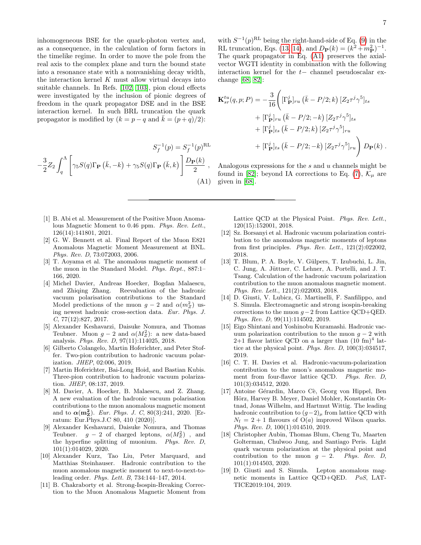inhomogeneous BSE for the quark-photon vertex and, as a consequence, in the calculation of form factors in the timelike regime. In order to move the pole from the real axis to the complex plane and turn the bound state into a resonance state with a nonvanishing decay width, the interaction kernel  $K$  must allow virtual decays into suitable channels. In Refs. [\[102,](#page-9-12) [103\]](#page-9-13), pion cloud effects were investigated by the inclusion of pionic degrees of freedom in the quark propagator DSE and in the BSE interaction kernel. In such BRL truncation the quark propagator is modified by  $(k = p - q \text{ and } \overline{k} = (p + q)/2)$ :

$$
S_f^{-1}(p) = S_f^{-1}(p)^{\text{RL}}
$$

$$
-\frac{3}{2}Z_2 \int_q^{\Lambda} \left[ \gamma_5 S(q) \Gamma_{\mathbf{P}}(\bar{k}, -k) + \gamma_5 S(q) \Gamma_{\mathbf{P}}(\bar{k}, k) \right] \frac{D_{\mathbf{P}}(k)}{2},
$$
  
(A1)

- <span id="page-6-0"></span>[1] B. Abi et al. Measurement of the Positive Muon Anomalous Magnetic Moment to 0.46 ppm. Phys. Rev. Lett., 126(14):141801, 2021.
- <span id="page-6-1"></span>[2] G. W. Bennett et al. Final Report of the Muon E821 Anomalous Magnetic Moment Measurement at BNL. Phys. Rev. D, 73:072003, 2006.
- <span id="page-6-2"></span>[3] T. Aoyama et al. The anomalous magnetic moment of the muon in the Standard Model. Phys. Rept., 887:1– 166, 2020.
- <span id="page-6-3"></span>[4] Michel Davier, Andreas Hoecker, Bogdan Malaescu, and Zhiqing Zhang. Reevaluation of the hadronic vacuum polarisation contributions to the Standard Model predictions of the muon  $g-2$  and  $\alpha(m_Z^2)$  using newest hadronic cross-section data. Eur. Phys. J.  $C, 77(12):827, 2017.$
- [5] Alexander Keshavarzi, Daisuke Nomura, and Thomas Teubner. Muon  $g-2$  and  $\alpha(M_Z^2)$ : a new data-based analysis. Phys. Rev. D, 97(11):114025, 2018.
- [6] Gilberto Colangelo, Martin Hoferichter, and Peter Stoffer. Two-pion contribution to hadronic vacuum polarization. JHEP, 02:006, 2019.
- [7] Martin Hoferichter, Bai-Long Hoid, and Bastian Kubis. Three-pion contribution to hadronic vacuum polarization. JHEP, 08:137, 2019.
- [8] M. Davier, A. Hoecker, B. Malaescu, and Z. Zhang. A new evaluation of the hadronic vacuum polarisation contributions to the muon anomalous magnetic moment and to  $\alpha(\mathbf{m_Z^2})$ . Eur. Phys. J. C, 80(3):241, 2020. [Erratum: Eur.Phys.J.C 80, 410 (2020)].
- [9] Alexander Keshavarzi, Daisuke Nomura, and Thomas Teubner.  $g - 2$  of charged leptons,  $\alpha(M_Z^2)$ , and the hyperfine splitting of muonium. Phys. Rev. D, 101(1):014029, 2020.
- [10] Alexander Kurz, Tao Liu, Peter Marquard, and Matthias Steinhauser. Hadronic contribution to the muon anomalous magnetic moment to next-to-next-toleading order. Phys. Lett. B, 734:144–147, 2014.
- [11] B. Chakraborty et al. Strong-Isospin-Breaking Correction to the Muon Anomalous Magnetic Moment from

with  $S^{-1}(p)^{\text{RL}}$  being the right-hand-side of Eq. [\(9\)](#page-1-4) in the RL truncation, Eqs. [\(13,](#page-2-3) [14\)](#page-2-4), and  $D_{\mathbf{P}}(k) = (k^2 + m_{\mathbf{P}}^2)^{-1}$ . The quark propagator in Eq. [\(A1\)](#page-6-4) preserves the axialvector WGTI identity in combination with the following interaction kernel for the t− channel pseudoscalar exchange [\[68,](#page-8-6) [82\]](#page-8-13):

$$
\mathbf{K}_{sr}^{tu}(q, p; P) = -\frac{3}{16} \left( [\Gamma_{\mathbf{P}}^{j}]_{ru} (\bar{k} - P/2; k) [Z_2 \tau^{j} \gamma^{5}]_{ts} + [\Gamma_{\mathbf{P}}^{j}]_{ru} (\bar{k} - P/2; -k) [Z_2 \tau^{j} \gamma^{5}]_{ts} + [\Gamma_{\mathbf{P}}^{j}]_{ts} (\bar{k} - P/2; k) [Z_2 \tau^{j} \gamma^{5}]_{ru} + [\Gamma_{\mathbf{P}}^{j}]_{ts} (\bar{k} - P/2; -k) [Z_2 \tau^{j} \gamma^{5}]_{ru} \right) D_{\mathbf{P}}(k) .
$$

<span id="page-6-4"></span>Analogous expressions for the s and u channels might be found in [\[82\]](#page-8-13); beyond IA corrections to Eq. [\(7\)](#page-1-2),  $\mathcal{K}_{\mu}$  are given in [\[68\]](#page-8-6).

Lattice QCD at the Physical Point. Phys. Rev. Lett., 120(15):152001, 2018.

- [12] Sz. Borsanyi et al. Hadronic vacuum polarization contribution to the anomalous magnetic moments of leptons from first principles. Phys. Rev. Lett.,  $121(2):022002$ , 2018.
- [13] T. Blum, P. A. Boyle, V. Gülpers, T. Izubuchi, L. Jin, C. Jung, A. Jüttner, C. Lehner, A. Portelli, and J. T. Tsang. Calculation of the hadronic vacuum polarization contribution to the muon anomalous magnetic moment. Phys. Rev. Lett., 121(2):022003, 2018.
- [14] D. Giusti, V. Lubicz, G. Martinelli, F. Sanfilippo, and S. Simula. Electromagnetic and strong isospin-breaking corrections to the muon  $g - 2$  from Lattice QCD+QED. Phys. Rev. D, 99(11):114502, 2019.
- [15] Eigo Shintani and Yoshinobu Kuramashi. Hadronic vacuum polarization contribution to the muon  $g - 2$  with  $2+1$  flavor lattice QCD on a larger than  $(10 \text{ fm})^4$  lattice at the physical point. Phys. Rev. D, 100(3):034517, 2019.
- [16] C. T. H. Davies et al. Hadronic-vacuum-polarization contribution to the muon's anomalous magnetic moment from four-flavor lattice QCD. Phys. Rev. D, 101(3):034512, 2020.
- [17] Antoine Gérardin, Marco Cè, Georg von Hippel, Ben Hörz, Harvey B. Meyer, Daniel Mohler, Konstantin Ottnad, Jonas Wilhelm, and Hartmut Wittig. The leading hadronic contribution to  $(g-2)_{\mu}$  from lattice QCD with  $N_f = 2 + 1$  flavours of  $O(a)$  improved Wilson quarks. Phys. Rev. D, 100(1):014510, 2019.
- [18] Christopher Aubin, Thomas Blum, Cheng Tu, Maarten Golterman, Chulwoo Jung, and Santiago Peris. Light quark vacuum polarization at the physical point and contribution to the muon  $g - 2$ . Phys. Rev. D, 101(1):014503, 2020.
- [19] D. Giusti and S. Simula. Lepton anomalous magnetic moments in Lattice QCD+QED. PoS, LAT-TICE2019:104, 2019.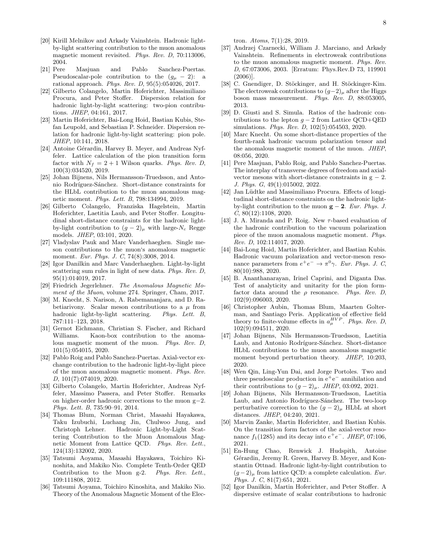- [20] Kirill Melnikov and Arkady Vainshtein. Hadronic lightby-light scattering contribution to the muon anomalous magnetic moment revisited. Phys. Rev. D, 70:113006, 2004.
- [21] Pere Masjuan and Pablo Sanchez-Puertas. Pseudoscalar-pole contribution to the  $(g_{\mu} - 2)$ : a rational approach. Phys. Rev. D, 95(5):054026, 2017.
- <span id="page-7-2"></span>[22] Gilberto Colangelo, Martin Hoferichter, Massimiliano Procura, and Peter Stoffer. Dispersion relation for hadronic light-by-light scattering: two-pion contributions. JHEP, 04:161, 2017.
- [23] Martin Hoferichter, Bai-Long Hoid, Bastian Kubis, Stefan Leupold, and Sebastian P. Schneider. Dispersion relation for hadronic light-by-light scattering: pion pole. JHEP, 10:141, 2018.
- [24] Antoine Gérardin, Harvey B. Meyer, and Andreas Nyffeler. Lattice calculation of the pion transition form factor with  $N_f = 2 + 1$  Wilson quarks. Phys. Rev. D, 100(3):034520, 2019.
- [25] Johan Bijnens, Nils Hermansson-Truedsson, and Antonio Rodríguez-Sánchez. Short-distance constraints for the HLbL contribution to the muon anomalous magnetic moment. Phys. Lett. B, 798:134994, 2019.
- [26] Gilberto Colangelo, Franziska Hagelstein, Martin Hoferichter, Laetitia Laub, and Peter Stoffer. Longitudinal short-distance constraints for the hadronic lightby-light contribution to  $(g-2)_{\mu}$  with large-N<sub>c</sub> Regge models. JHEP, 03:101, 2020.
- [27] Vladyslav Pauk and Marc Vanderhaeghen. Single meson contributions to the muon's anomalous magnetic moment. Eur. Phys. J. C, 74(8):3008, 2014.
- [28] Igor Danilkin and Marc Vanderhaeghen. Light-by-light scattering sum rules in light of new data. Phys. Rev. D, 95(1):014019, 2017.
- [29] Friedrich Jegerlehner. The Anomalous Magnetic Moment of the Muon, volume 274. Springer, Cham, 2017.
- [30] M. Knecht, S. Narison, A. Rabemananjara, and D. Rabetiarivony. Scalar meson contributions to a  $\mu$  from hadronic light-by-light scattering. Phys. Lett. B, 787:111–123, 2018.
- <span id="page-7-3"></span>[31] Gernot Eichmann, Christian S. Fischer, and Richard Williams. Kaon-box contribution to the anomalous magnetic moment of the muon. Phys. Rev. D, 101(5):054015, 2020.
- <span id="page-7-4"></span>[32] Pablo Roig and Pablo Sanchez-Puertas. Axial-vector exchange contribution to the hadronic light-by-light piece of the muon anomalous magnetic moment. Phys. Rev. D, 101(7):074019, 2020.
- [33] Gilberto Colangelo, Martin Hoferichter, Andreas Nyffeler, Massimo Passera, and Peter Stoffer. Remarks on higher-order hadronic corrections to the muon g−2. Phys. Lett. B, 735:90–91, 2014.
- [34] Thomas Blum, Norman Christ, Masashi Hayakawa, Taku Izubuchi, Luchang Jin, Chulwoo Jung, and Christoph Lehner. Hadronic Light-by-Light Scattering Contribution to the Muon Anomalous Magnetic Moment from Lattice QCD. Phys. Rev. Lett., 124(13):132002, 2020.
- [35] Tatsumi Aoyama, Masashi Hayakawa, Toichiro Kinoshita, and Makiko Nio. Complete Tenth-Order QED Contribution to the Muon g-2. Phys. Rev. Lett., 109:111808, 2012.
- [36] Tatsumi Aoyama, Toichiro Kinoshita, and Makiko Nio. Theory of the Anomalous Magnetic Moment of the Elec-

tron. Atoms, 7(1):28, 2019.

- [37] Andrzej Czarnecki, William J. Marciano, and Arkady Vainshtein. Refinements in electroweak contributions to the muon anomalous magnetic moment. Phys. Rev. D, 67:073006, 2003. [Erratum: Phys.Rev.D 73, 119901 (2006)].
- <span id="page-7-0"></span>[38] C. Gnendiger, D. Stöckinger, and H. Stöckinger-Kim. The electroweak contributions to  $(g-2)_{\mu}$  after the Higgs boson mass measurement. Phys. Rev. D, 88:053005, 2013.
- <span id="page-7-1"></span>[39] D. Giusti and S. Simula. Ratios of the hadronic contributions to the lepton  $q - 2$  from Lattice QCD+QED simulations. Phys. Rev. D, 102(5):054503, 2020.
- [40] Marc Knecht. On some short-distance properties of the fourth-rank hadronic vacuum polarization tensor and the anomalous magnetic moment of the muon. JHEP, 08:056, 2020.
- [41] Pere Masjuan, Pablo Roig, and Pablo Sanchez-Puertas. The interplay of transverse degrees of freedom and axialvector mesons with short-distance constraints in  $g - 2$ . J. Phys. G, 49(1):015002, 2022.
- [42] Jan Lüdtke and Massimiliano Procura. Effects of longitudinal short-distance constraints on the hadronic lightby-light contribution to the muon  $g - 2$ . Eur. Phys. J.  $C, 80(12):1108, 2020.$
- [43] J. A. Miranda and P. Roig. New  $\tau$ -based evaluation of the hadronic contribution to the vacuum polarization piece of the muon anomalous magnetic moment. Phys. Rev. D, 102:114017, 2020.
- [44] Bai-Long Hoid, Martin Hoferichter, and Bastian Kubis. Hadronic vacuum polarization and vector-meson resonance parameters from  $e^+e^- \to \pi^0 \gamma$ . Eur. Phys. J. C, 80(10):988, 2020.
- [45] B. Ananthanarayan, Irinel Caprini, and Diganta Das. Test of analyticity and unitarity for the pion formfactor data around the  $\rho$  resonance. Phys. Rev. D, 102(9):096003, 2020.
- [46] Christopher Aubin, Thomas Blum, Maarten Golterman, and Santiago Peris. Application of effective field theory to finite-volume effects in  $a_\mu^{HVP}$ . Phys. Rev. D, 102(9):094511, 2020.
- [47] Johan Bijnens, Nils Hermansson-Truedsson, Laetitia Laub, and Antonio Rodríguez-Sánchez. Short-distance HLbL contributions to the muon anomalous magnetic moment beyond perturbation theory. *JHEP*, 10:203, 2020.
- [48] Wen Qin, Ling-Yun Dai, and Jorge Portoles. Two and three pseudoscalar production in  $e^+e^-$  annihilation and their contributions to  $(g-2)_{\mu}$ . JHEP, 03:092, 2021.
- [49] Johan Bijnens, Nils Hermansson-Truedsson, Laetitia Laub, and Antonio Rodríguez-Sánchez. The two-loop perturbative correction to the  $(g-2)_{\mu}$  HLbL at short distances. JHEP, 04:240, 2021.
- [50] Marvin Zanke, Martin Hoferichter, and Bastian Kubis. On the transition form factors of the axial-vector resonance  $f_1(1285)$  and its decay into  $e^+e^-$ . JHEP, 07:106, 2021.
- [51] En-Hung Chao, Renwick J. Hudspith, Antoine Gérardin, Jeremy R. Green, Harvey B. Meyer, and Konstantin Ottnad. Hadronic light-by-light contribution to  $(g-2)_{\mu}$  from lattice QCD: a complete calculation. Eur. Phys. J. C, 81(7):651, 2021.
- [52] Igor Danilkin, Martin Hoferichter, and Peter Stoffer. A dispersive estimate of scalar contributions to hadronic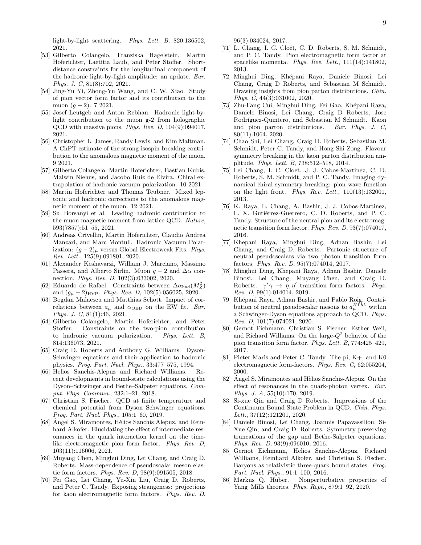light-by-light scattering. Phys. Lett. B, 820:136502, 2021.

- [53] Gilberto Colangelo, Franziska Hagelstein, Martin Hoferichter, Laetitia Laub, and Peter Stoffer. Shortdistance constraints for the longitudinal component of the hadronic light-by-light amplitude: an update. Eur. Phys. J. C, 81(8):702, 2021.
- [54] Jing-Yu Yi, Zhong-Yu Wang, and C. W. Xiao. Study of pion vector form factor and its contribution to the muon  $(q-2)$ . 7 2021.
- [55] Josef Leutgeb and Anton Rebhan. Hadronic light-bylight contribution to the muon g-2 from holographic QCD with massive pions. Phys. Rev. D, 104(9):094017, 2021.
- [56] Christopher L. James, Randy Lewis, and Kim Maltman. A ChPT estimate of the strong-isospin-breaking contribution to the anomalous magnetic moment of the muon. 9 2021.
- [57] Gilberto Colangelo, Martin Hoferichter, Bastian Kubis, Malwin Niehus, and Jacobo Ruiz de Elvira. Chiral extrapolation of hadronic vacuum polarization. 10 2021.
- <span id="page-8-1"></span>[58] Martin Hoferichter and Thomas Teubner. Mixed leptonic and hadronic corrections to the anomalous magnetic moment of the muon. 12 2021.
- <span id="page-8-0"></span>[59] Sz. Borsanyi et al. Leading hadronic contribution to the muon magnetic moment from lattice QCD. Nature, 593(7857):51–55, 2021.
- <span id="page-8-2"></span>[60] Andreas Crivellin, Martin Hoferichter, Claudio Andrea Manzari, and Marc Montull. Hadronic Vacuum Polarization:  $(g-2)_{\mu}$  versus Global Electroweak Fits. Phys. Rev. Lett., 125(9):091801, 2020.
- [61] Alexander Keshavarzi, William J. Marciano, Massimo Passera, and Alberto Sirlin. Muon  $q-2$  and  $\Delta \alpha$  connection. Phys. Rev. D, 102(3):033002, 2020.
- [62] Eduardo de Rafael. Constraints between  $\Delta\alpha_{\rm had}(M_Z^2)$ and  $(g_{\mu} - 2)_{HVP}$ . Phys. Rev. D, 102(5):056025, 2020.
- [63] Bogdan Malaescu and Matthias Schott. Impact of correlations between  $a_{\mu}$  and  $\alpha$ QED on the EW fit. Eur. Phys. J. C, 81(1):46, 2021.
- <span id="page-8-3"></span>[64] Gilberto Colangelo, Martin Hoferichter, and Peter Stoffer. Constraints on the two-pion contribution to hadronic vacuum polarization. Phys. Lett. B, 814:136073, 2021.
- <span id="page-8-4"></span>[65] Craig D. Roberts and Anthony G. Williams. Dyson-Schwinger equations and their application to hadronic physics. Prog. Part. Nucl. Phys., 33:477–575, 1994.
- [66] Helios Sanchis-Alepuz and Richard Williams. Recent developments in bound-state calculations using the Dyson–Schwinger and Bethe–Salpeter equations. Comput. Phys. Commun., 232:1–21, 2018.
- <span id="page-8-5"></span>[67] Christian S. Fischer. QCD at finite temperature and chemical potential from Dyson–Schwinger equations. Prog. Part. Nucl. Phys., 105:1–60, 2019.
- <span id="page-8-6"></span>[68] Angel S. Miramontes, Hèlios Sanchis Alepuz, and Reinhard Alkofer. Elucidating the effect of intermediate resonances in the quark interaction kernel on the timelike electromagnetic pion form factor. Phys. Rev. D, 103(11):116006, 2021.
- [69] Muyang Chen, Minghui Ding, Lei Chang, and Craig D. Roberts. Mass-dependence of pseudoscalar meson elastic form factors. Phys. Rev. D, 98(9):091505, 2018.
- [70] Fei Gao, Lei Chang, Yu-Xin Liu, Craig D. Roberts, and Peter C. Tandy. Exposing strangeness: projections for kaon electromagnetic form factors. Phys. Rev. D,

96(3):034024, 2017.

- <span id="page-8-7"></span>[71] L. Chang, I. C. Cloët, C. D. Roberts, S. M. Schmidt, and P. C. Tandy. Pion electromagnetic form factor at spacelike momenta. Phys. Rev. Lett., 111(14):141802, 2013.
- <span id="page-8-8"></span>[72] Minghui Ding, Kh´epani Raya, Daniele Binosi, Lei Chang, Craig D Roberts, and Sebastian M Schmidt. Drawing insights from pion parton distributions. *Chin.* Phys. C, 44(3):031002, 2020.
- [73] Zhu-Fang Cui, Minghui Ding, Fei Gao, Khépani Raya, Daniele Binosi, Lei Chang, Craig D Roberts, Jose Rodríguez-Quintero, and Sebastian M Schmidt. Kaon and pion parton distributions. Eur. Phys. J. C, 80(11):1064, 2020.
- <span id="page-8-18"></span>[74] Chao Shi, Lei Chang, Craig D. Roberts, Sebastian M. Schmidt, Peter C. Tandy, and Hong-Shi Zong. Flavour symmetry breaking in the kaon parton distribution amplitude. Phys. Lett. B, 738:512–518, 2014.
- <span id="page-8-9"></span>[75] Lei Chang, I. C. Cloet, J. J. Cobos-Martinez, C. D. Roberts, S. M. Schmidt, and P. C. Tandy. Imaging dynamical chiral symmetry breaking: pion wave function on the light front. Phys. Rev. Lett., 110(13):132001, 2013.
- <span id="page-8-10"></span>[76] K. Raya, L. Chang, A. Bashir, J. J. Cobos-Martinez, L. X. Gutiérrez-Guerrero, C. D. Roberts, and P. C. Tandy. Structure of the neutral pion and its electromagnetic transition form factor. Phys. Rev. D, 93(7):074017, 2016.
- [77] Khepani Raya, Minghui Ding, Adnan Bashir, Lei Chang, and Craig D. Roberts. Partonic structure of neutral pseudoscalars via two photon transition form factors. Phys. Rev. D, 95(7):074014, 2017.
- [78] Minghui Ding, Khepani Raya, Adnan Bashir, Daniele Binosi, Lei Chang, Muyang Chen, and Craig D. Roberts.  $\gamma^* \gamma \to \eta, \eta'$  transition form factors. Phys. Rev. D, 99(1):014014, 2019.
- <span id="page-8-17"></span>[79] Khépani Raya, Adnan Bashir, and Pablo Roig. Contribution of neutral pseudoscalar mesons to  $a_{\mu}^{HLbL}$  within a Schwinger-Dyson equations approach to QCD. Phys. Rev. D, 101(7):074021, 2020.
- <span id="page-8-11"></span>[80] Gernot Eichmann, Christian S. Fischer, Esther Weil, and Richard Williams. On the large- $Q^2$  behavior of the pion transition form factor. Phys. Lett. B, 774:425–429, 2017.
- <span id="page-8-12"></span>[81] Pieter Maris and Peter C. Tandy. The pi, K+, and K0 electromagnetic form-factors. Phys. Rev. C, 62:055204, 2000.
- <span id="page-8-13"></span>[82] Angel S. Miramontes and Hèlios Sanchis-Alepuz. On the effect of resonances in the quark-photon vertex. Eur. Phys. J. A, 55(10):170, 2019.
- <span id="page-8-14"></span>[83] Si-xue Qin and Craig D Roberts. Impressions of the Continuum Bound State Problem in QCD. Chin. Phys. Lett., 37(12):121201, 2020.
- [84] Daniele Binosi, Lei Chang, Joannis Papavassiliou, Si-Xue Qin, and Craig D. Roberts. Symmetry preserving truncations of the gap and Bethe-Salpeter equations. Phys. Rev. D, 93(9):096010, 2016.
- <span id="page-8-16"></span>[85] Gernot Eichmann, Helios Sanchis-Alepuz, Richard Williams, Reinhard Alkofer, and Christian S. Fischer. Baryons as relativistic three-quark bound states. Prog. Part. Nucl. Phys., 91:1–100, 2016.
- <span id="page-8-15"></span>[86] Markus Q. Huber. Nonperturbative properties of Yang–Mills theories. Phys. Rept., 879:1–92, 2020.